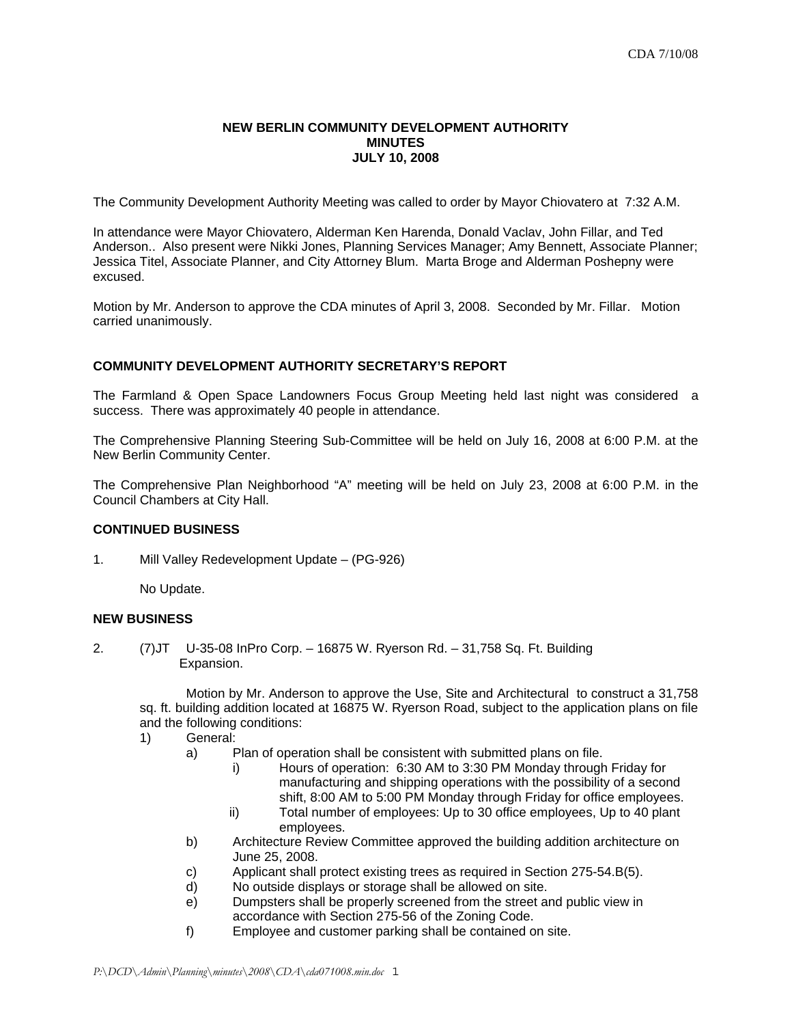### **NEW BERLIN COMMUNITY DEVELOPMENT AUTHORITY MINUTES JULY 10, 2008**

The Community Development Authority Meeting was called to order by Mayor Chiovatero at 7:32 A.M.

In attendance were Mayor Chiovatero, Alderman Ken Harenda, Donald Vaclav, John Fillar, and Ted Anderson.. Also present were Nikki Jones, Planning Services Manager; Amy Bennett, Associate Planner; Jessica Titel, Associate Planner, and City Attorney Blum. Marta Broge and Alderman Poshepny were excused.

Motion by Mr. Anderson to approve the CDA minutes of April 3, 2008. Seconded by Mr. Fillar. Motion carried unanimously.

# **COMMUNITY DEVELOPMENT AUTHORITY SECRETARY'S REPORT**

The Farmland & Open Space Landowners Focus Group Meeting held last night was considered a success. There was approximately 40 people in attendance.

The Comprehensive Planning Steering Sub-Committee will be held on July 16, 2008 at 6:00 P.M. at the New Berlin Community Center.

The Comprehensive Plan Neighborhood "A" meeting will be held on July 23, 2008 at 6:00 P.M. in the Council Chambers at City Hall.

## **CONTINUED BUSINESS**

1. Mill Valley Redevelopment Update – (PG-926)

No Update.

## **NEW BUSINESS**

2. (7)JT U-35-08 InPro Corp. – 16875 W. Ryerson Rd. – 31,758 Sq. Ft. Building Expansion.

 Motion by Mr. Anderson to approve the Use, Site and Architectural to construct a 31,758 sq. ft. building addition located at 16875 W. Ryerson Road, subject to the application plans on file and the following conditions:

- 1) General:
	- a) Plan of operation shall be consistent with submitted plans on file.
		- i) Hours of operation: 6:30 AM to 3:30 PM Monday through Friday for manufacturing and shipping operations with the possibility of a second shift, 8:00 AM to 5:00 PM Monday through Friday for office employees.
		- ii) Total number of employees: Up to 30 office employees, Up to 40 plant employees.
	- b) Architecture Review Committee approved the building addition architecture on June 25, 2008.
	- c) Applicant shall protect existing trees as required in Section 275-54.B(5).
	- d) No outside displays or storage shall be allowed on site.
	- e) Dumpsters shall be properly screened from the street and public view in accordance with Section 275-56 of the Zoning Code.
	- f) Employee and customer parking shall be contained on site.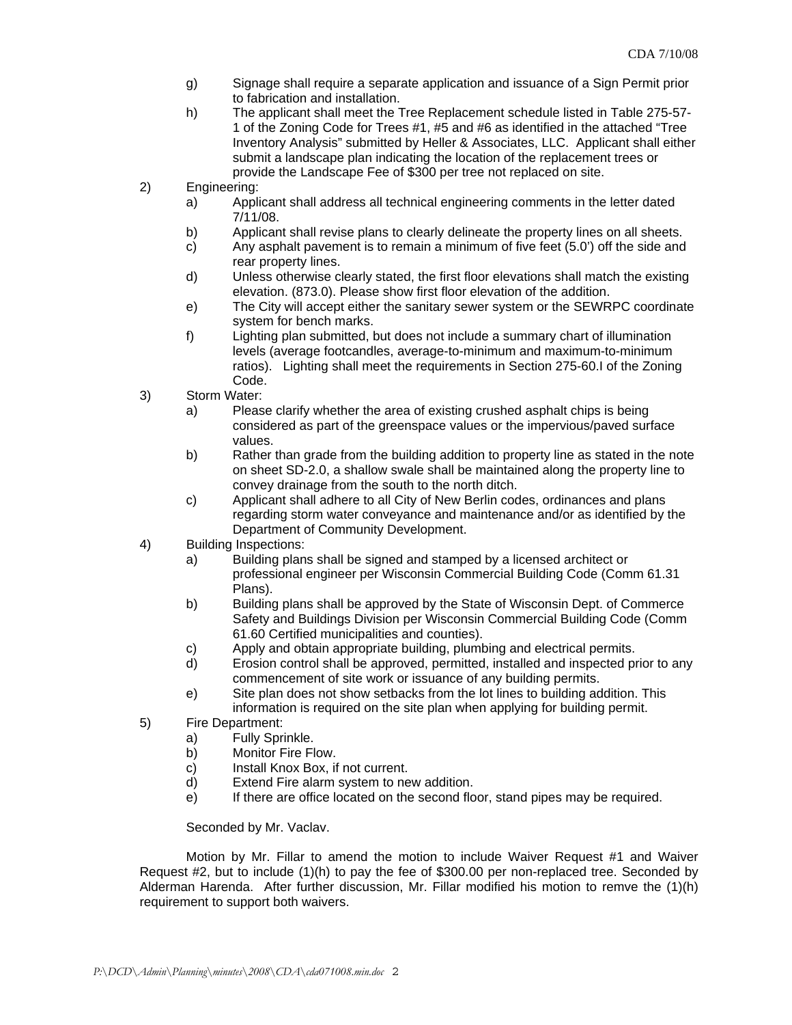- g) Signage shall require a separate application and issuance of a Sign Permit prior to fabrication and installation.
- h) The applicant shall meet the Tree Replacement schedule listed in Table 275-57- 1 of the Zoning Code for Trees #1, #5 and #6 as identified in the attached "Tree Inventory Analysis" submitted by Heller & Associates, LLC. Applicant shall either submit a landscape plan indicating the location of the replacement trees or provide the Landscape Fee of \$300 per tree not replaced on site.
- 2) Engineering:
	- a) Applicant shall address all technical engineering comments in the letter dated 7/11/08.
	- b) Applicant shall revise plans to clearly delineate the property lines on all sheets.
	- c) Any asphalt pavement is to remain a minimum of five feet (5.0') off the side and rear property lines.
	- d) Unless otherwise clearly stated, the first floor elevations shall match the existing elevation. (873.0). Please show first floor elevation of the addition.
	- e) The City will accept either the sanitary sewer system or the SEWRPC coordinate system for bench marks.
	- f) Lighting plan submitted, but does not include a summary chart of illumination levels (average footcandles, average-to-minimum and maximum-to-minimum ratios). Lighting shall meet the requirements in Section 275-60.I of the Zoning Code.
- 3) Storm Water:
	- a) Please clarify whether the area of existing crushed asphalt chips is being considered as part of the greenspace values or the impervious/paved surface values.
	- b) Rather than grade from the building addition to property line as stated in the note on sheet SD-2.0, a shallow swale shall be maintained along the property line to convey drainage from the south to the north ditch.
	- c) Applicant shall adhere to all City of New Berlin codes, ordinances and plans regarding storm water conveyance and maintenance and/or as identified by the Department of Community Development.
- 4) Building Inspections:
	- a) Building plans shall be signed and stamped by a licensed architect or professional engineer per Wisconsin Commercial Building Code (Comm 61.31 Plans).
	- b) Building plans shall be approved by the State of Wisconsin Dept. of Commerce Safety and Buildings Division per Wisconsin Commercial Building Code (Comm 61.60 Certified municipalities and counties).
	- c) Apply and obtain appropriate building, plumbing and electrical permits.
	- d) Erosion control shall be approved, permitted, installed and inspected prior to any commencement of site work or issuance of any building permits.
	- e) Site plan does not show setbacks from the lot lines to building addition. This information is required on the site plan when applying for building permit.
- 5) Fire Department:
	- a) Fully Sprinkle.
	- b) Monitor Fire Flow.
	- c) Install Knox Box, if not current.
	- d) Extend Fire alarm system to new addition.
	- e) If there are office located on the second floor, stand pipes may be required.

## Seconded by Mr. Vaclav.

 Motion by Mr. Fillar to amend the motion to include Waiver Request #1 and Waiver Request #2, but to include (1)(h) to pay the fee of \$300.00 per non-replaced tree. Seconded by Alderman Harenda. After further discussion, Mr. Fillar modified his motion to remve the (1)(h) requirement to support both waivers.